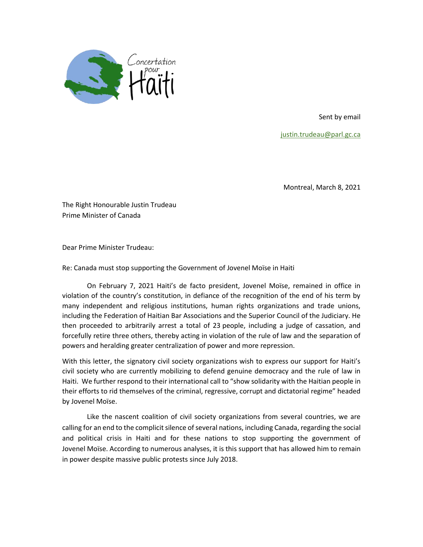

Sent by email

[justin.trudeau@parl.gc.ca](mailto:justin.trudeau@parl.gc.ca)

Montreal, March 8, 2021

The Right Honourable Justin Trudeau Prime Minister of Canada

Dear Prime Minister Trudeau:

Re: Canada must stop supporting the Government of Jovenel Moïse in Haiti

On February 7, 2021 Haiti's de facto president, Jovenel Moïse, remained in office in violation of the country's constitution, in defiance of the recognition of the end of his term by many independent and religious institutions, human rights organizations and trade unions, including the Federation of Haitian Bar Associations and the Superior Council of the Judiciary. He then proceeded to arbitrarily arrest a total of 23 people, including a judge of cassation, and forcefully retire three others, thereby acting in violation of the rule of law and the separation of powers and heralding greater centralization of power and more repression.

With this letter, the signatory civil society organizations wish to express our support for Haiti's civil society who are currently mobilizing to defend genuine democracy and the rule of law in Haiti. We further respond to their international call to "show solidarity with the Haitian people in their efforts to rid themselves of the criminal, regressive, corrupt and dictatorial regime" headed by Jovenel Moïse.

Like the nascent coalition of civil society organizations from several countries, we are calling for an end to the complicit silence of several nations, including Canada, regarding the social and political crisis in Haiti and for these nations to stop supporting the government of Jovenel Moïse. According to numerous analyses, it is this support that has allowed him to remain in power despite massive public protests since July 2018.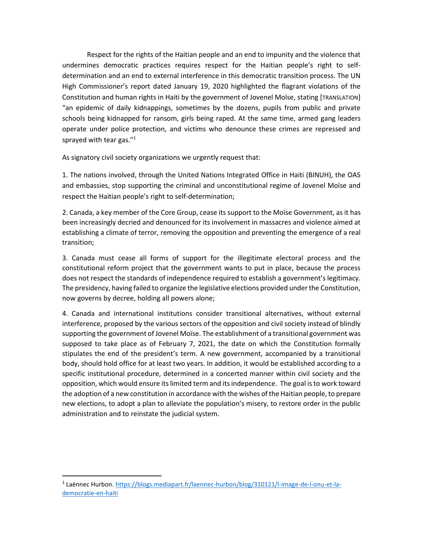Respect for the rights of the Haitian people and an end to impunity and the violence that undermines democratic practices requires respect for the Haitian people's right to selfdetermination and an end to external interference in this democratic transition process. The UN High Commissioner's report dated January 19, 2020 highlighted the flagrant violations of the Constitution and human rights in Haiti by the government of Jovenel Moïse, stating [TRANSLATION] "an epidemic of daily kidnappings, sometimes by the dozens, pupils from public and private schools being kidnapped for ransom, girls being raped. At the same time, armed gang leaders operate under police protection, and victims who denounce these crimes are repressed and sprayed with tear gas."<sup>1</sup>

As signatory civil society organizations we urgently request that:

1. The nations involved, through the United Nations Integrated Office in Haiti (BINUH), the OAS and embassies, stop supporting the criminal and unconstitutional regime of Jovenel Moïse and respect the Haitian people's right to self-determination;

2. Canada, a key member of the Core Group, cease its support to the Moïse Government, as it has been increasingly decried and denounced for its involvement in massacres and violence aimed at establishing a climate of terror, removing the opposition and preventing the emergence of a real transition;

3. Canada must cease all forms of support for the illegitimate electoral process and the constitutional reform project that the government wants to put in place, because the process does not respect the standards of independence required to establish a government's legitimacy. The presidency, having failed to organize the legislative elections provided under the Constitution, now governs by decree, holding all powers alone;

4. Canada and international institutions consider transitional alternatives, without external interference, proposed by the various sectors of the opposition and civil society instead of blindly supporting the government of Jovenel Moïse. The establishment of a transitional government was supposed to take place as of February 7, 2021, the date on which the Constitution formally stipulates the end of the president's term. A new government, accompanied by a transitional body, should hold office for at least two years. In addition, it would be established according to a specific institutional procedure, determined in a concerted manner within civil society and the opposition, which would ensure its limited term and its independence. The goal is to work toward the adoption of a new constitution in accordance with the wishes of the Haitian people, to prepare new elections, to adopt a plan to alleviate the population's misery, to restore order in the public administration and to reinstate the judicial system.

<sup>&</sup>lt;sup>1</sup> Laënnec Hurbon. [https://blogs.mediapart.fr/laennec-hurbon/blog/310121/l-image-de-l-onu-et-la](https://blogs.mediapart.fr/laennec-hurbon/blog/310121/l-image-de-l-onu-et-la-democratie-en-haiti)[democratie-en-haiti](https://blogs.mediapart.fr/laennec-hurbon/blog/310121/l-image-de-l-onu-et-la-democratie-en-haiti)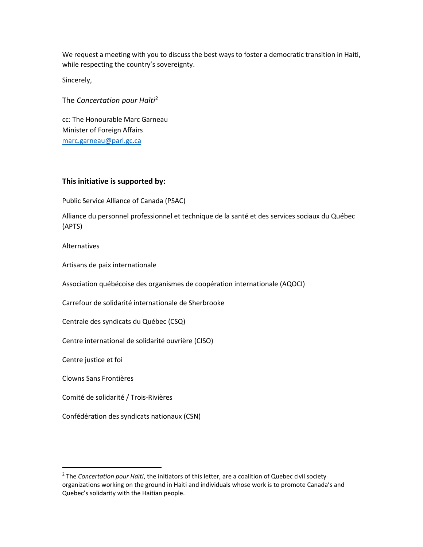We request a meeting with you to discuss the best ways to foster a democratic transition in Haiti, while respecting the country's sovereignty.

Sincerely,

The *Concertation pour Haïti*<sup>2</sup>

cc: The Honourable Marc Garneau Minister of Foreign Affairs [marc.garneau@parl.gc.ca](mailto:marc.garneau@parl.gc.ca)

## **This initiative is supported by:**

Public Service Alliance of Canada (PSAC)

Alliance du personnel professionnel et technique de la santé et des services sociaux du Québec (APTS)

Alternatives

Artisans de paix internationale

Association québécoise des organismes de coopération internationale (AQOCI)

Carrefour de solidarité internationale de Sherbrooke

Centrale des syndicats du Québec (CSQ)

Centre international de solidarité ouvrière (CISO)

Centre justice et foi

Clowns Sans Frontières

Comité de solidarité / Trois-Rivières

Confédération des syndicats nationaux (CSN)

<sup>2</sup> The *Concertation pour Haïti*, the initiators of this letter, are a coalition of Quebec civil society organizations working on the ground in Haiti and individuals whose work is to promote Canada's and Quebec's solidarity with the Haitian people.